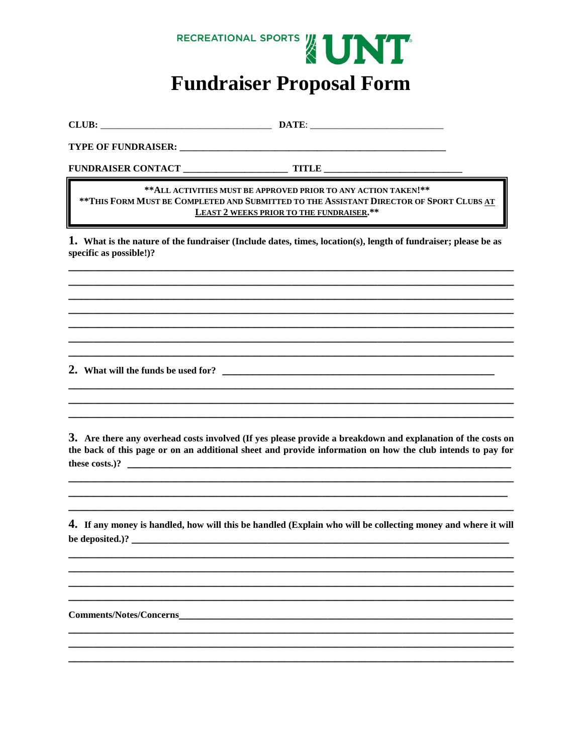

## **Fundraiser Proposal Form**

## \*\* ALL ACTIVITIES MUST BE APPROVED PRIOR TO ANY ACTION TAKEN!\*\* \*\* THIS FORM MUST BE COMPLETED AND SUBMITTED TO THE ASSISTANT DIRECTOR OF SPORT CLUBS AT **LEAST 2 WEEKS PRIOR TO THE FUNDRAISER.\*\***

1. What is the nature of the fundraiser (Include dates, times, location(s), length of fundraiser; please be as specific as possible!)?

3. Are there any overhead costs involved (If yes please provide a breakdown and explanation of the costs on the back of this page or on an additional sheet and provide information on how the club intends to pay for these costs.)?  $\qquad \qquad$ 

4. If any money is handled, how will this be handled (Explain who will be collecting money and where it will be deposited.)?

**Comments/Notes/Concerns**